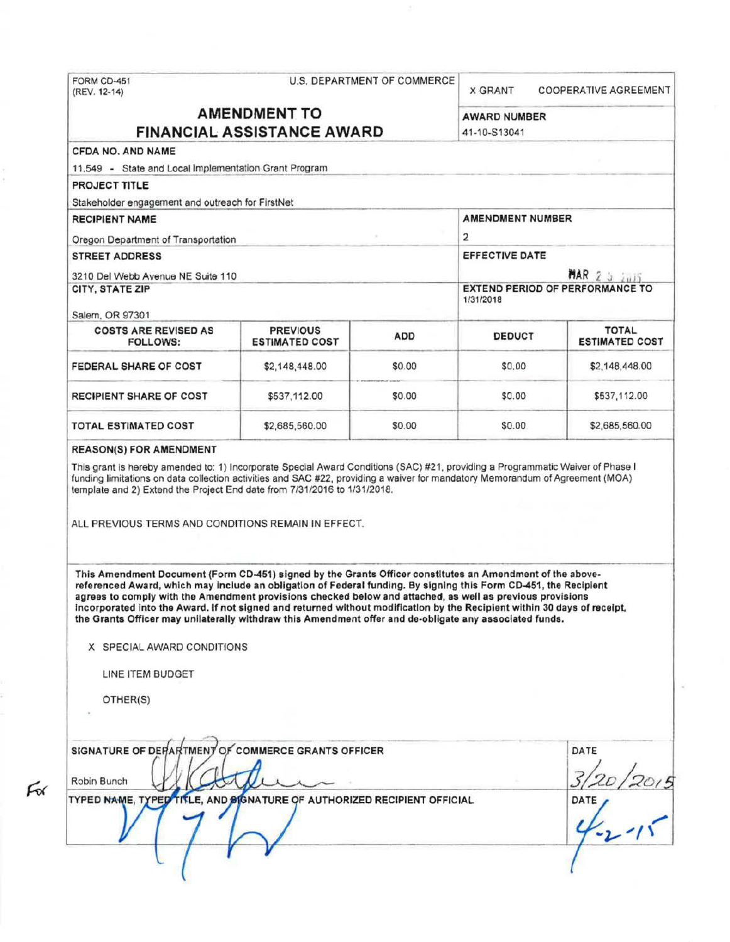| FORM CD-451<br>(REV. 12-14)                                                                                                                                                                                                                                                                                                                                                                                                                                                                                                                                                                                     | <b>U.S. DEPARTMENT OF COMMERCE</b>       |                                        |                                     | <b>COOPERATIVE AGREEMENT</b><br><b>X GRANT</b> |  |  |
|-----------------------------------------------------------------------------------------------------------------------------------------------------------------------------------------------------------------------------------------------------------------------------------------------------------------------------------------------------------------------------------------------------------------------------------------------------------------------------------------------------------------------------------------------------------------------------------------------------------------|------------------------------------------|----------------------------------------|-------------------------------------|------------------------------------------------|--|--|
| <b>AMENDMENT TO</b><br><b>FINANCIAL ASSISTANCE AWARD</b>                                                                                                                                                                                                                                                                                                                                                                                                                                                                                                                                                        |                                          |                                        | <b>AWARD NUMBER</b><br>41-10-S13041 |                                                |  |  |
| CFDA NO. AND NAME                                                                                                                                                                                                                                                                                                                                                                                                                                                                                                                                                                                               |                                          |                                        |                                     |                                                |  |  |
| 11.549 - State and Local Implementation Grant Program                                                                                                                                                                                                                                                                                                                                                                                                                                                                                                                                                           |                                          |                                        |                                     |                                                |  |  |
| PROJECT TITLE                                                                                                                                                                                                                                                                                                                                                                                                                                                                                                                                                                                                   |                                          |                                        |                                     |                                                |  |  |
| Stakeholder engagement and outreach for FirstNet                                                                                                                                                                                                                                                                                                                                                                                                                                                                                                                                                                |                                          |                                        |                                     |                                                |  |  |
| <b>RECIPIENT NAME</b>                                                                                                                                                                                                                                                                                                                                                                                                                                                                                                                                                                                           | <b>AMENDMENT NUMBER</b>                  |                                        |                                     |                                                |  |  |
| Oregon Department of Transportation                                                                                                                                                                                                                                                                                                                                                                                                                                                                                                                                                                             | 2<br>EFFECTIVE DATE<br>MAR 2 5 2015      |                                        |                                     |                                                |  |  |
| <b>STREET ADDRESS</b>                                                                                                                                                                                                                                                                                                                                                                                                                                                                                                                                                                                           |                                          |                                        |                                     |                                                |  |  |
| 3210 Del Webb Avenue NE Suite 110                                                                                                                                                                                                                                                                                                                                                                                                                                                                                                                                                                               |                                          |                                        |                                     |                                                |  |  |
| <b>CITY, STATE ZIP</b>                                                                                                                                                                                                                                                                                                                                                                                                                                                                                                                                                                                          | 1/31/2018                                | <b>EXTEND PERIOD OF PERFORMANCE TO</b> |                                     |                                                |  |  |
| Salem, OR 97301                                                                                                                                                                                                                                                                                                                                                                                                                                                                                                                                                                                                 |                                          |                                        |                                     |                                                |  |  |
| <b>COSTS ARE REVISED AS</b><br><b>FOLLOWS:</b>                                                                                                                                                                                                                                                                                                                                                                                                                                                                                                                                                                  | <b>PREVIOUS</b><br><b>ESTIMATED COST</b> | <b>ADD</b>                             | <b>DEDUCT</b>                       | <b>TOTAL</b><br><b>ESTIMATED COST</b>          |  |  |
| FEDERAL SHARE OF COST                                                                                                                                                                                                                                                                                                                                                                                                                                                                                                                                                                                           | \$2,148,448.00                           | \$0.00                                 | \$0.00                              | \$2,148,448.00                                 |  |  |
| RECIPIENT SHARE OF COST                                                                                                                                                                                                                                                                                                                                                                                                                                                                                                                                                                                         | \$537,112.00                             | \$0.00                                 | \$0.00                              | \$537,112.00                                   |  |  |
| <b>TOTAL ESTIMATED COST</b>                                                                                                                                                                                                                                                                                                                                                                                                                                                                                                                                                                                     | \$2,685,560.00                           | \$0.00                                 | \$0.00                              | \$2,685,560.00                                 |  |  |
| ALL PREVIOUS TERMS AND CONDITIONS REMAIN IN EFFECT.                                                                                                                                                                                                                                                                                                                                                                                                                                                                                                                                                             |                                          |                                        |                                     |                                                |  |  |
| This Amendment Document (Form CD-451) signed by the Grants Officer constitutes an Amendment of the above-<br>referenced Award, which may include an obligation of Federal funding. By signing this Form CD-451, the Recipient<br>agrees to comply with the Amendment provisions checked below and attached, as well as previous provisions<br>incorporated into the Award. If not signed and returned without modification by the Recipient within 30 days of receipt,<br>the Grants Officer may unilaterally withdraw this Amendment offer and de-obligate any associated funds.<br>X SPECIAL AWARD CONDITIONS |                                          |                                        |                                     |                                                |  |  |
| LINE ITEM BUDGET                                                                                                                                                                                                                                                                                                                                                                                                                                                                                                                                                                                                |                                          |                                        |                                     |                                                |  |  |
| OTHER(S)                                                                                                                                                                                                                                                                                                                                                                                                                                                                                                                                                                                                        |                                          |                                        |                                     |                                                |  |  |
| SIGNATURE OF DEPARTMENT OF COMMERCE GRANTS OFFICER                                                                                                                                                                                                                                                                                                                                                                                                                                                                                                                                                              |                                          |                                        |                                     | DATE                                           |  |  |
| Robin Bunch                                                                                                                                                                                                                                                                                                                                                                                                                                                                                                                                                                                                     |                                          |                                        |                                     |                                                |  |  |
| TYPED NAME, TYPED TITLE, AND BIGNATURE OF AUTHORIZED RECIPIENT OFFICIAL                                                                                                                                                                                                                                                                                                                                                                                                                                                                                                                                         |                                          |                                        |                                     | $\frac{12}{1}$<br>DATE                         |  |  |
|                                                                                                                                                                                                                                                                                                                                                                                                                                                                                                                                                                                                                 |                                          |                                        |                                     |                                                |  |  |

 $F_0$